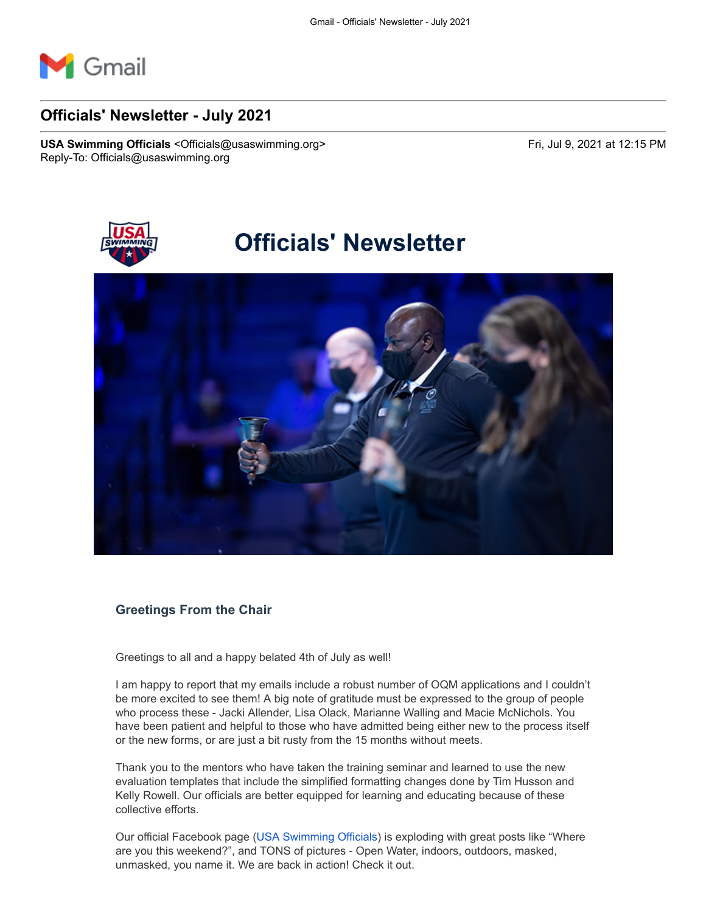

# **Officials' Newsletter - July 2021**

**USA Swimming Officials <Officials@usaswimming.org> Fri, Jul 9, 2021 at 12:15 PM** Reply-To: Officials@usaswimming.org



# **Officials' Newsletter**



## **Greetings From the Chair**

Greetings to all and a happy belated 4th of July as well!

I am happy to report that my emails include a robust number of OQM applications and I couldn't be more excited to see them! A big note of gratitude must be expressed to the group of people who process these - Jacki Allender, Lisa Olack, Marianne Walling and Macie McNichols. You have been patient and helpful to those who have admitted being either new to the process itself or the new forms, or are just a bit rusty from the 15 months without meets.

Thank you to the mentors who have taken the training seminar and learned to use the new evaluation templates that include the simplified formatting changes done by Tim Husson and Kelly Rowell. Our officials are better equipped for learning and educating because of these collective efforts.

Our official Facebook page [\(USA Swimming Officials\)](http://pages.usaswimming.org/MjM2LUtDWi00OTUAAAF-KwaEDmic6KECRn9to0bQ7JqWpcYxorcDMm4D6iN5uTH9vSYTCztycobcvOILjBvcXu-7nwI=) is exploding with great posts like "Where are you this weekend?", and TONS of pictures - Open Water, indoors, outdoors, masked, unmasked, you name it. We are back in action! Check it out.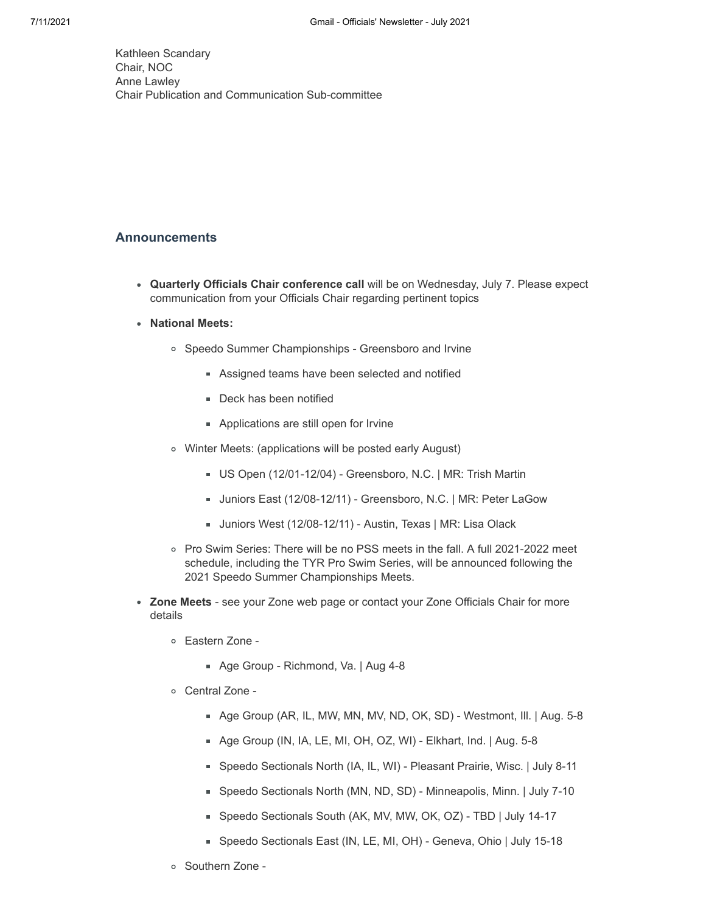Kathleen Scandary Chair, NOC Anne Lawley Chair Publication and Communication Sub-committee

### **Announcements**

- **Quarterly Officials Chair conference call** will be on Wednesday, July 7. Please expect communication from your Officials Chair regarding pertinent topics
- **National Meets:**
	- Speedo Summer Championships Greensboro and Irvine
		- **Assigned teams have been selected and notified**
		- **Deck has been notified**
		- **Applications are still open for Irvine**
	- Winter Meets: (applications will be posted early August)
		- US Open (12/01-12/04) Greensboro, N.C. | MR: Trish Martin
		- Juniors East (12/08-12/11) Greensboro, N.C. | MR: Peter LaGow
		- Juniors West (12/08-12/11) Austin, Texas | MR: Lisa Olack
	- Pro Swim Series: There will be no PSS meets in the fall. A full 2021-2022 meet schedule, including the TYR Pro Swim Series, will be announced following the 2021 Speedo Summer Championships Meets.
- **Zone Meets** see your Zone web page or contact your Zone Officials Chair for more details
	- Eastern Zone
		- Age Group Richmond, Va. | Aug 4-8
	- Central Zone
		- Age Group (AR, IL, MW, MN, MV, ND, OK, SD) Westmont, Ill. | Aug. 5-8
		- Age Group (IN, IA, LE, MI, OH, OZ, WI) Elkhart, Ind. | Aug. 5-8
		- Speedo Sectionals North (IA, IL, WI) Pleasant Prairie, Wisc. | July 8-11
		- Speedo Sectionals North (MN, ND, SD) Minneapolis, Minn. | July 7-10
		- Speedo Sectionals South (AK, MV, MW, OK, OZ) TBD | July 14-17
		- Speedo Sectionals East (IN, LE, MI, OH) Geneva, Ohio | July 15-18
	- Southern Zone -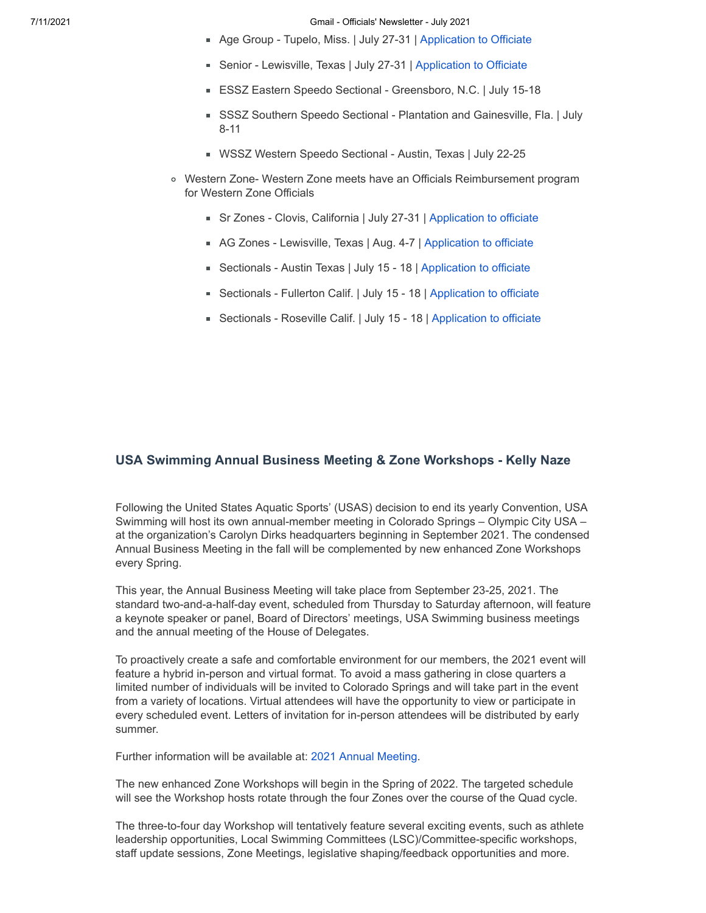- Age Group Tupelo, Miss. | July 27-31 | [Application to Officiate](http://pages.usaswimming.org/MjM2LUtDWi00OTUAAAF-KwaEDuYgVFVWZUE5nw8obX374wZ62YFAVcw_Is4T6pXca4hnM0yunnp0qGmhGJ5gnsXtPAI=)
- Senior Lewisville, Texas | July 27-31 | [Application to Officiate](http://pages.usaswimming.org/MjM2LUtDWi00OTUAAAF-KwaEDn57IH4PDmJ5-CZIrX3s5yS9F6-TyhE_H0YhbkQHgnMJ0pciiLk0IDtYVewDUJnNpa0=)
- ESSZ Eastern Speedo Sectional Greensboro, N.C. | July 15-18
- SSSZ Southern Speedo Sectional Plantation and Gainesville, Fla. | July 8-11
- WSSZ Western Speedo Sectional Austin, Texas | July 22-25
- Western Zone- Western Zone meets have an Officials Reimbursement program for Western Zone Officials
	- Sr Zones Clovis, California | July 27-31 | [Application to officiate](http://pages.usaswimming.org/MjM2LUtDWi00OTUAAAF-KwaEDiB2GhZkKjjYCYqJtCRM5zlkV_LX7iuYBDEDqgKUa-PsEzfWDToe4K4Qklepw2YosEY=)
	- AG Zones Lewisville, Texas | Aug. 4-7 | [Application to officiate](http://pages.usaswimming.org/MjM2LUtDWi00OTUAAAF-KwaEDubLz68VPdJbJXRuZDrZTOYMh5yjX62Y4LVRDJ2r8Ks6dzT5bl5crm2efC35b8P4Ego=)
	- Sectionals Austin Texas | July 15 18 | [Application to officiate](http://pages.usaswimming.org/MjM2LUtDWi00OTUAAAF-KwaEDqDnD9Mo_hEb15YjMSP8TvOUgvSaN-g-x6StBeIFL1vXcyOmGn91mQeDjX_blYajvko=)
	- Sectionals Fullerton Calif. | July 15 18 | [Application to officiate](http://pages.usaswimming.org/MjM2LUtDWi00OTUAAAF-KwaEDoVtmg2PUsp8iB7Y1Jw-nvhKOtap99S-xcu3T5MoVQCiQMjLJcxdNNraZPuNBu8XNqg=)
	- Sectionals Roseville Calif. | July 15 18 | [Application to officiate](http://pages.usaswimming.org/MjM2LUtDWi00OTUAAAF-KwaEDhqCozBb7L81Ko2ElER3BBECE0b00mRipnosJ5am9cJMXQT9-iACt6vm1dr4XSh4z4c=)

#### **USA Swimming Annual Business Meeting & Zone Workshops - Kelly Naze**

Following the United States Aquatic Sports' (USAS) decision to end its yearly Convention, USA Swimming will host its own annual-member meeting in Colorado Springs – Olympic City USA – at the organization's Carolyn Dirks headquarters beginning in September 2021. The condensed Annual Business Meeting in the fall will be complemented by new enhanced Zone Workshops every Spring.

This year, the Annual Business Meeting will take place from September 23-25, 2021. The standard two-and-a-half-day event, scheduled from Thursday to Saturday afternoon, will feature a keynote speaker or panel, Board of Directors' meetings, USA Swimming business meetings and the annual meeting of the House of Delegates.

To proactively create a safe and comfortable environment for our members, the 2021 event will feature a hybrid in-person and virtual format. To avoid a mass gathering in close quarters a limited number of individuals will be invited to Colorado Springs and will take part in the event from a variety of locations. Virtual attendees will have the opportunity to view or participate in every scheduled event. Letters of invitation for in-person attendees will be distributed by early summer.

Further information will be available at: [2021 Annual Meeting](http://pages.usaswimming.org/MjM2LUtDWi00OTUAAAF-KwaEDlJeK0Cm80CfMjv2t7-UTvoC4CZK9JwL1rM7ce9jaHzia4eTKaJEMe2A4wU8veXlpI8=).

The new enhanced Zone Workshops will begin in the Spring of 2022. The targeted schedule will see the Workshop hosts rotate through the four Zones over the course of the Quad cycle.

The three-to-four day Workshop will tentatively feature several exciting events, such as athlete leadership opportunities, Local Swimming Committees (LSC)/Committee-specific workshops, staff update sessions, Zone Meetings, legislative shaping/feedback opportunities and more.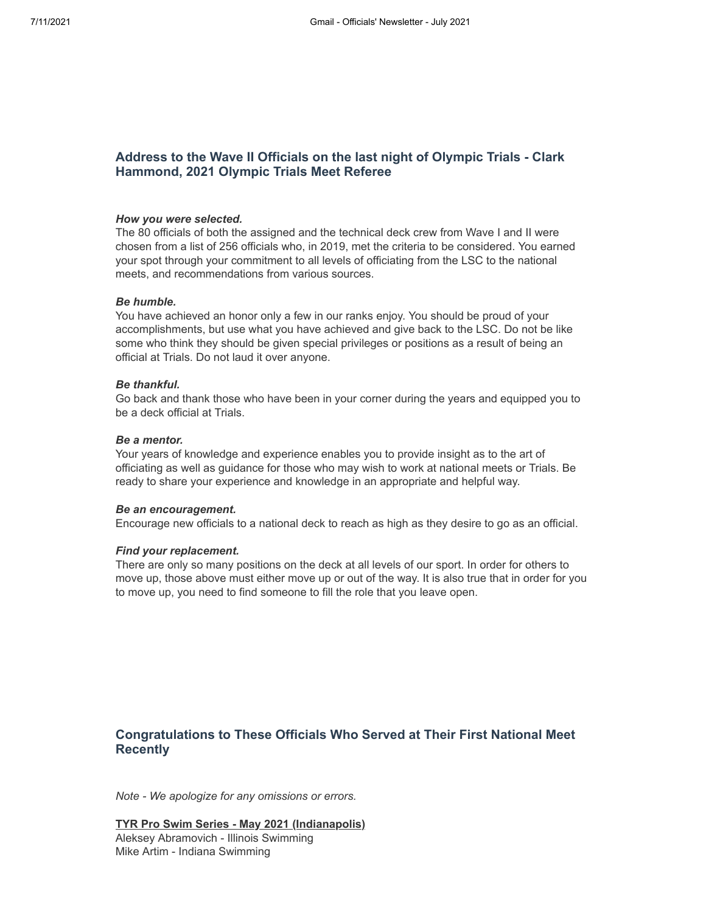## **Address to the Wave II Officials on the last night of Olympic Trials - Clark Hammond, 2021 Olympic Trials Meet Referee**

#### *How you were selected.*

The 80 officials of both the assigned and the technical deck crew from Wave I and II were chosen from a list of 256 officials who, in 2019, met the criteria to be considered. You earned your spot through your commitment to all levels of officiating from the LSC to the national meets, and recommendations from various sources.

#### *Be humble.*

You have achieved an honor only a few in our ranks enjoy. You should be proud of your accomplishments, but use what you have achieved and give back to the LSC. Do not be like some who think they should be given special privileges or positions as a result of being an official at Trials. Do not laud it over anyone.

#### *Be thankful.*

Go back and thank those who have been in your corner during the years and equipped you to be a deck official at Trials.

#### *Be a mentor.*

Your years of knowledge and experience enables you to provide insight as to the art of officiating as well as guidance for those who may wish to work at national meets or Trials. Be ready to share your experience and knowledge in an appropriate and helpful way.

#### *Be an encouragement.*

Encourage new officials to a national deck to reach as high as they desire to go as an official.

#### *Find your replacement.*

There are only so many positions on the deck at all levels of our sport. In order for others to move up, those above must either move up or out of the way. It is also true that in order for you to move up, you need to find someone to fill the role that you leave open.

# **Congratulations to These Officials Who Served at Their First National Meet Recently**

*Note - We apologize for any omissions or errors.*

**TYR Pro Swim Series - May 2021 (Indianapolis)** Aleksey Abramovich - Illinois Swimming Mike Artim - Indiana Swimming